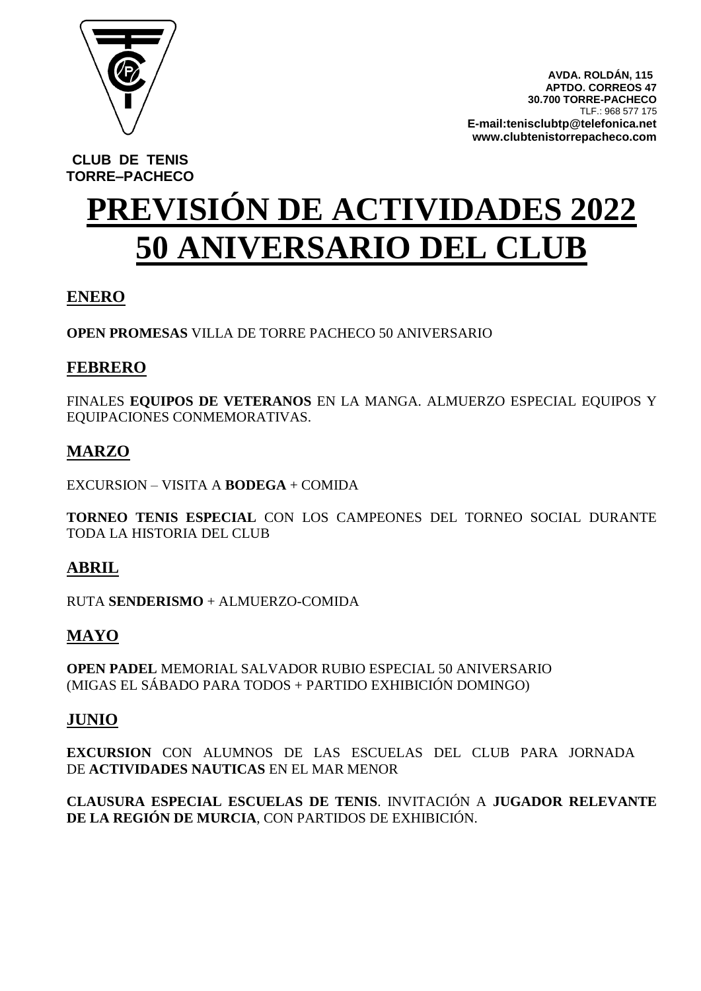

 **AVDA. ROLDÁN, 115 APTDO. CORREOS 47 30.700 TORRE-PACHECO** TLF.: 968 577 175 **E-mail:tenisclubtp@telefonica.net www.clubtenistorrepacheco.com**

**CLUB DE TENIS TORRE–PACHECO**

# **PREVISIÓN DE ACTIVIDADES 2022 50 ANIVERSARIO DEL CLUB**

# **ENERO**

**OPEN PROMESAS** VILLA DE TORRE PACHECO 50 ANIVERSARIO

## **FEBRERO**

FINALES **EQUIPOS DE VETERANOS** EN LA MANGA. ALMUERZO ESPECIAL EQUIPOS Y EQUIPACIONES CONMEMORATIVAS.

# **MARZO**

EXCURSION – VISITA A **BODEGA** + COMIDA

**TORNEO TENIS ESPECIAL** CON LOS CAMPEONES DEL TORNEO SOCIAL DURANTE TODA LA HISTORIA DEL CLUB

# **ABRIL**

RUTA **SENDERISMO** + ALMUERZO-COMIDA

# **MAYO**

**OPEN PADEL** MEMORIAL SALVADOR RUBIO ESPECIAL 50 ANIVERSARIO (MIGAS EL SÁBADO PARA TODOS + PARTIDO EXHIBICIÓN DOMINGO)

### **JUNIO**

**EXCURSION** CON ALUMNOS DE LAS ESCUELAS DEL CLUB PARA JORNADA DE **ACTIVIDADES NAUTICAS** EN EL MAR MENOR

**CLAUSURA ESPECIAL ESCUELAS DE TENIS**. INVITACIÓN A **JUGADOR RELEVANTE DE LA REGIÓN DE MURCIA**, CON PARTIDOS DE EXHIBICIÓN.